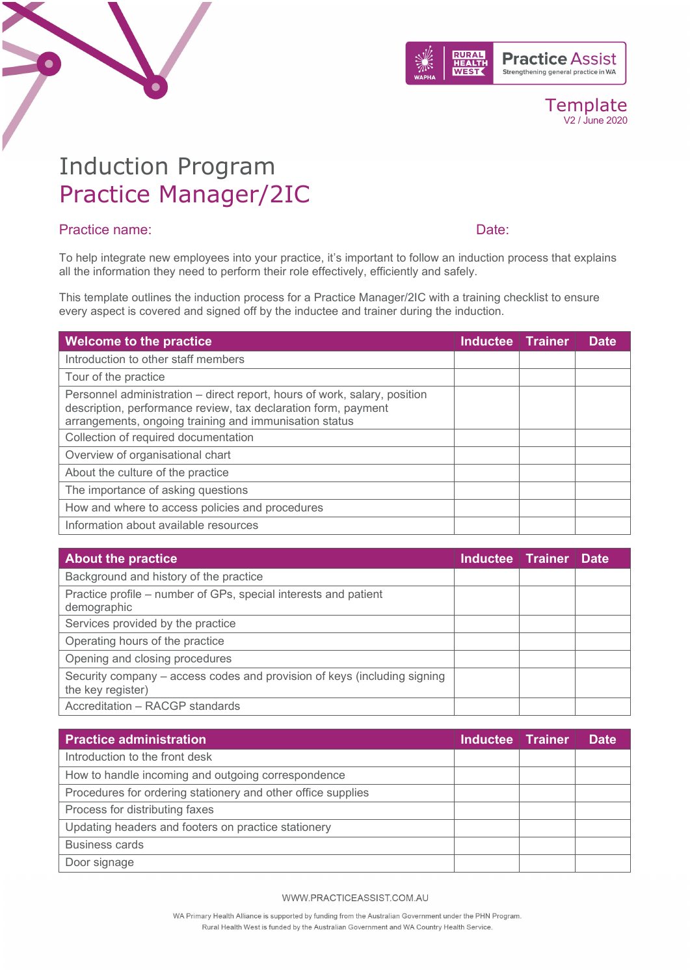



Template V2 / June 2020

## Induction Program Practice Manager/2IC

#### Practice name: Date:

To help integrate new employees into your practice, it's important to follow an induction process that explains all the information they need to perform their role effectively, efficiently and safely.

This template outlines the induction process for a Practice Manager/2IC with a training checklist to ensure every aspect is covered and signed off by the inductee and trainer during the induction.

| Welcome to the practice                                                                                                                                                                               | Inductee Trainer | <b>Date</b> |
|-------------------------------------------------------------------------------------------------------------------------------------------------------------------------------------------------------|------------------|-------------|
| Introduction to other staff members                                                                                                                                                                   |                  |             |
| Tour of the practice                                                                                                                                                                                  |                  |             |
| Personnel administration – direct report, hours of work, salary, position<br>description, performance review, tax declaration form, payment<br>arrangements, ongoing training and immunisation status |                  |             |
| Collection of required documentation                                                                                                                                                                  |                  |             |
| Overview of organisational chart                                                                                                                                                                      |                  |             |
| About the culture of the practice                                                                                                                                                                     |                  |             |
| The importance of asking questions                                                                                                                                                                    |                  |             |
| How and where to access policies and procedures                                                                                                                                                       |                  |             |
| Information about available resources                                                                                                                                                                 |                  |             |

| <b>About the practice</b>                                                                     | Inductee Trainer | <b>Date</b> |
|-----------------------------------------------------------------------------------------------|------------------|-------------|
| Background and history of the practice                                                        |                  |             |
| Practice profile – number of GPs, special interests and patient<br>demographic                |                  |             |
| Services provided by the practice                                                             |                  |             |
| Operating hours of the practice                                                               |                  |             |
| Opening and closing procedures                                                                |                  |             |
| Security company – access codes and provision of keys (including signing<br>the key register) |                  |             |
| Accreditation - RACGP standards                                                               |                  |             |

| <b>Practice administration</b>                               | Inductee Trainer | <b>Date</b> |
|--------------------------------------------------------------|------------------|-------------|
| Introduction to the front desk                               |                  |             |
| How to handle incoming and outgoing correspondence           |                  |             |
| Procedures for ordering stationery and other office supplies |                  |             |
| Process for distributing faxes                               |                  |             |
| Updating headers and footers on practice stationery          |                  |             |
| <b>Business cards</b>                                        |                  |             |
| Door signage                                                 |                  |             |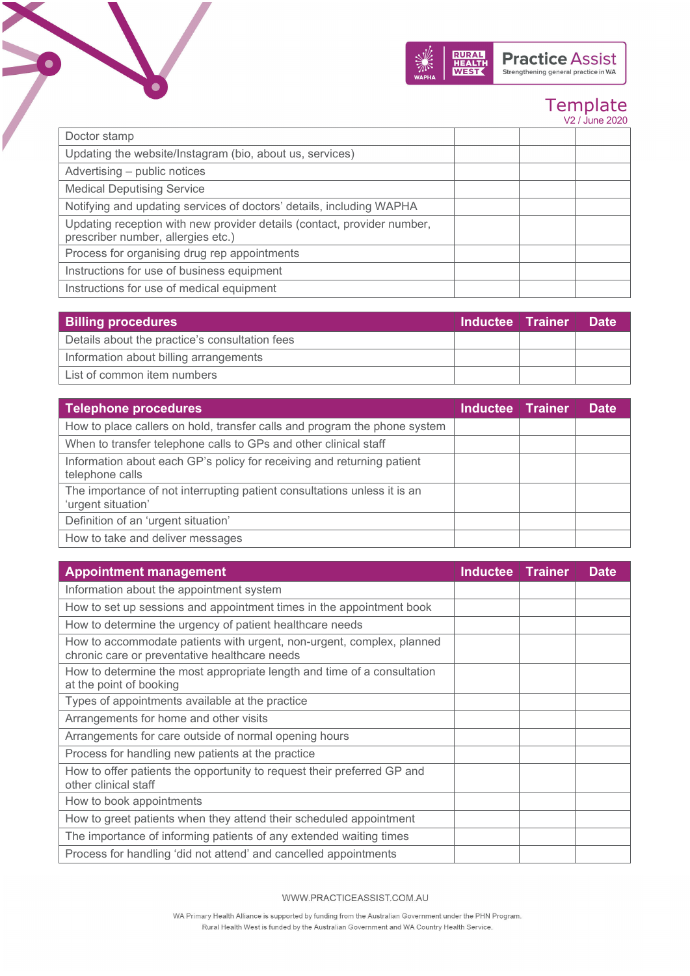

V2 / June 2020

| Doctor stamp                                                                                                  |  |  |
|---------------------------------------------------------------------------------------------------------------|--|--|
| Updating the website/Instagram (bio, about us, services)                                                      |  |  |
| Advertising - public notices                                                                                  |  |  |
| <b>Medical Deputising Service</b>                                                                             |  |  |
| Notifying and updating services of doctors' details, including WAPHA                                          |  |  |
| Updating reception with new provider details (contact, provider number,<br>prescriber number, allergies etc.) |  |  |
| Process for organising drug rep appointments                                                                  |  |  |
| Instructions for use of business equipment                                                                    |  |  |
| Instructions for use of medical equipment                                                                     |  |  |

 $\bullet$ 

| <b>Billing procedures</b>                      |  | <b>Inductee Trainer</b> | <b>Date</b> |
|------------------------------------------------|--|-------------------------|-------------|
| Details about the practice's consultation fees |  |                         |             |
| Information about billing arrangements         |  |                         |             |
| List of common item numbers                    |  |                         |             |

| <b>Telephone procedures</b>                                                                    | <b>Inductee Trainer</b> | <b>Date</b> |
|------------------------------------------------------------------------------------------------|-------------------------|-------------|
| How to place callers on hold, transfer calls and program the phone system                      |                         |             |
| When to transfer telephone calls to GPs and other clinical staff                               |                         |             |
| Information about each GP's policy for receiving and returning patient<br>telephone calls      |                         |             |
| The importance of not interrupting patient consultations unless it is an<br>'urgent situation' |                         |             |
| Definition of an 'urgent situation'                                                            |                         |             |
| How to take and deliver messages                                                               |                         |             |

| <b>Appointment management</b>                                                                                          | <b>Inductee   Trainer</b> | <b>Date</b> |
|------------------------------------------------------------------------------------------------------------------------|---------------------------|-------------|
| Information about the appointment system                                                                               |                           |             |
| How to set up sessions and appointment times in the appointment book                                                   |                           |             |
| How to determine the urgency of patient healthcare needs                                                               |                           |             |
| How to accommodate patients with urgent, non-urgent, complex, planned<br>chronic care or preventative healthcare needs |                           |             |
| How to determine the most appropriate length and time of a consultation<br>at the point of booking                     |                           |             |
| Types of appointments available at the practice                                                                        |                           |             |
| Arrangements for home and other visits                                                                                 |                           |             |
| Arrangements for care outside of normal opening hours                                                                  |                           |             |
| Process for handling new patients at the practice                                                                      |                           |             |
| How to offer patients the opportunity to request their preferred GP and<br>other clinical staff                        |                           |             |
| How to book appointments                                                                                               |                           |             |
| How to greet patients when they attend their scheduled appointment                                                     |                           |             |
| The importance of informing patients of any extended waiting times                                                     |                           |             |
| Process for handling 'did not attend' and cancelled appointments                                                       |                           |             |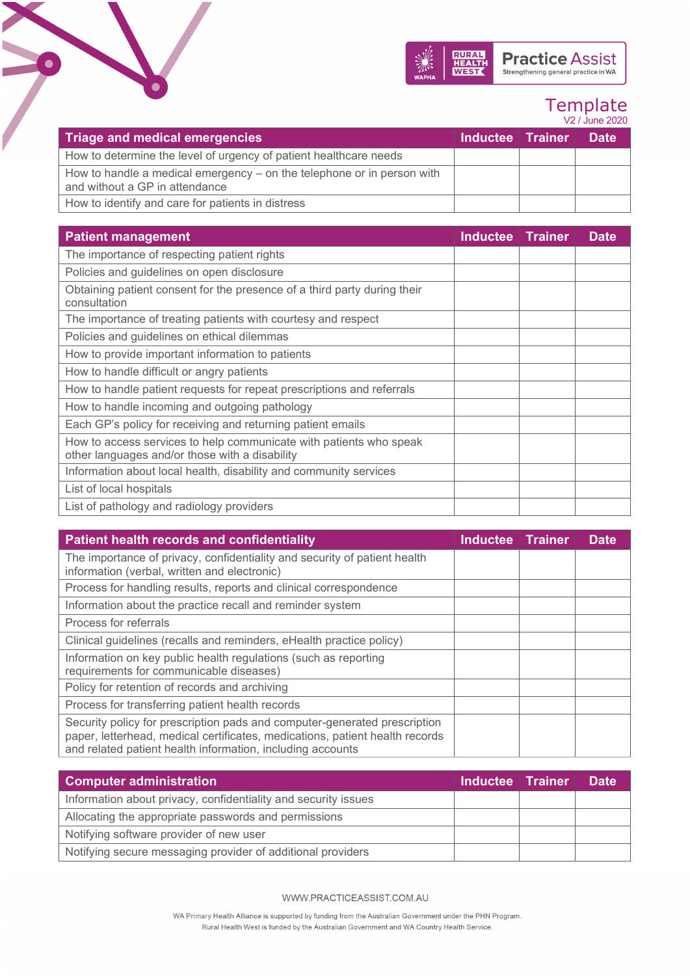

#### Template V2 / June 2020

| Triage and medical emergencies                                                                             | <b>Inductee   Trainer  </b> | <b>Date</b> |
|------------------------------------------------------------------------------------------------------------|-----------------------------|-------------|
| How to determine the level of urgency of patient healthcare needs                                          |                             |             |
| How to handle a medical emergency $-$ on the telephone or in person with<br>and without a GP in attendance |                             |             |
| How to identify and care for patients in distress                                                          |                             |             |

 $\bullet$ 

| <b>Patient management</b>                                                                                            | <b>Inductee</b> | <b>Trainer</b> | <b>Date</b> |
|----------------------------------------------------------------------------------------------------------------------|-----------------|----------------|-------------|
| The importance of respecting patient rights                                                                          |                 |                |             |
| Policies and guidelines on open disclosure                                                                           |                 |                |             |
| Obtaining patient consent for the presence of a third party during their<br>consultation                             |                 |                |             |
| The importance of treating patients with courtesy and respect                                                        |                 |                |             |
| Policies and guidelines on ethical dilemmas                                                                          |                 |                |             |
| How to provide important information to patients                                                                     |                 |                |             |
| How to handle difficult or angry patients                                                                            |                 |                |             |
| How to handle patient requests for repeat prescriptions and referrals                                                |                 |                |             |
| How to handle incoming and outgoing pathology                                                                        |                 |                |             |
| Each GP's policy for receiving and returning patient emails                                                          |                 |                |             |
| How to access services to help communicate with patients who speak<br>other languages and/or those with a disability |                 |                |             |
| Information about local health, disability and community services                                                    |                 |                |             |
| List of local hospitals                                                                                              |                 |                |             |
| List of pathology and radiology providers                                                                            |                 |                |             |

| <b>Patient health records and confidentiality</b>                                                                                                                                                                       | <b>Inductee Trainer</b> | <b>Date</b> |
|-------------------------------------------------------------------------------------------------------------------------------------------------------------------------------------------------------------------------|-------------------------|-------------|
| The importance of privacy, confidentiality and security of patient health<br>information (verbal, written and electronic)                                                                                               |                         |             |
| Process for handling results, reports and clinical correspondence                                                                                                                                                       |                         |             |
| Information about the practice recall and reminder system                                                                                                                                                               |                         |             |
| Process for referrals                                                                                                                                                                                                   |                         |             |
| Clinical guidelines (recalls and reminders, eHealth practice policy)                                                                                                                                                    |                         |             |
| Information on key public health regulations (such as reporting<br>requirements for communicable diseases)                                                                                                              |                         |             |
| Policy for retention of records and archiving                                                                                                                                                                           |                         |             |
| Process for transferring patient health records                                                                                                                                                                         |                         |             |
| Security policy for prescription pads and computer-generated prescription<br>paper, letterhead, medical certificates, medications, patient health records<br>and related patient health information, including accounts |                         |             |

| <b>Computer administration</b>                                 | Inductee Trainer | <b>Date</b> |
|----------------------------------------------------------------|------------------|-------------|
| Information about privacy, confidentiality and security issues |                  |             |
| Allocating the appropriate passwords and permissions           |                  |             |
| Notifying software provider of new user                        |                  |             |
| Notifying secure messaging provider of additional providers    |                  |             |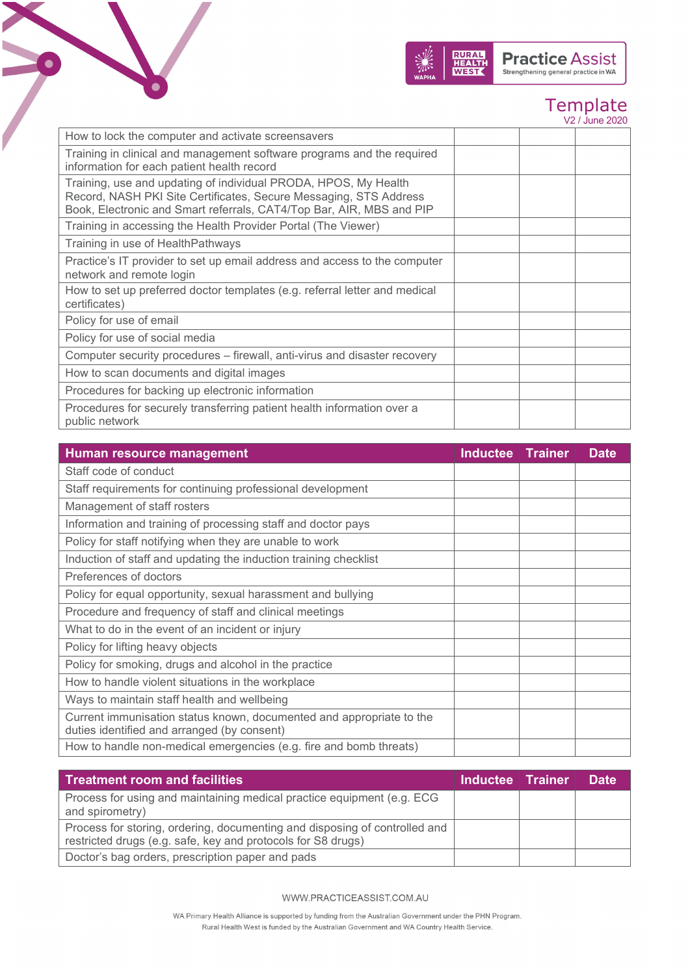

|  | V2 / June 2020 |
|--|----------------|
|  |                |
|  |                |

| How to lock the computer and activate screensavers                                                                                                                                                           |  |  |
|--------------------------------------------------------------------------------------------------------------------------------------------------------------------------------------------------------------|--|--|
| Training in clinical and management software programs and the required<br>information for each patient health record                                                                                         |  |  |
| Training, use and updating of individual PRODA, HPOS, My Health<br>Record, NASH PKI Site Certificates, Secure Messaging, STS Address<br>Book, Electronic and Smart referrals, CAT4/Top Bar, AIR, MBS and PIP |  |  |
| Training in accessing the Health Provider Portal (The Viewer)                                                                                                                                                |  |  |
| Training in use of HealthPathways                                                                                                                                                                            |  |  |
| Practice's IT provider to set up email address and access to the computer<br>network and remote login                                                                                                        |  |  |
| How to set up preferred doctor templates (e.g. referral letter and medical<br>certificates)                                                                                                                  |  |  |
| Policy for use of email                                                                                                                                                                                      |  |  |
| Policy for use of social media                                                                                                                                                                               |  |  |
| Computer security procedures – firewall, anti-virus and disaster recovery                                                                                                                                    |  |  |
| How to scan documents and digital images                                                                                                                                                                     |  |  |
| Procedures for backing up electronic information                                                                                                                                                             |  |  |
| Procedures for securely transferring patient health information over a<br>public network                                                                                                                     |  |  |

 $\bullet$ 

| Human resource management                                                                                           | <b>Inductee Trainer</b> | <b>Date</b> |
|---------------------------------------------------------------------------------------------------------------------|-------------------------|-------------|
| Staff code of conduct                                                                                               |                         |             |
| Staff requirements for continuing professional development                                                          |                         |             |
| Management of staff rosters                                                                                         |                         |             |
| Information and training of processing staff and doctor pays                                                        |                         |             |
| Policy for staff notifying when they are unable to work                                                             |                         |             |
| Induction of staff and updating the induction training checklist                                                    |                         |             |
| Preferences of doctors                                                                                              |                         |             |
| Policy for equal opportunity, sexual harassment and bullying                                                        |                         |             |
| Procedure and frequency of staff and clinical meetings                                                              |                         |             |
| What to do in the event of an incident or injury                                                                    |                         |             |
| Policy for lifting heavy objects                                                                                    |                         |             |
| Policy for smoking, drugs and alcohol in the practice                                                               |                         |             |
| How to handle violent situations in the workplace                                                                   |                         |             |
| Ways to maintain staff health and wellbeing                                                                         |                         |             |
| Current immunisation status known, documented and appropriate to the<br>duties identified and arranged (by consent) |                         |             |
| How to handle non-medical emergencies (e.g. fire and bomb threats)                                                  |                         |             |

| <b>Treatment room and facilities</b>                                                                                                       | Inductee Trainer | <b>Date</b> |
|--------------------------------------------------------------------------------------------------------------------------------------------|------------------|-------------|
| Process for using and maintaining medical practice equipment (e.g. ECG<br>and spirometry)                                                  |                  |             |
| Process for storing, ordering, documenting and disposing of controlled and<br>restricted drugs (e.g. safe, key and protocols for S8 drugs) |                  |             |
| Doctor's bag orders, prescription paper and pads                                                                                           |                  |             |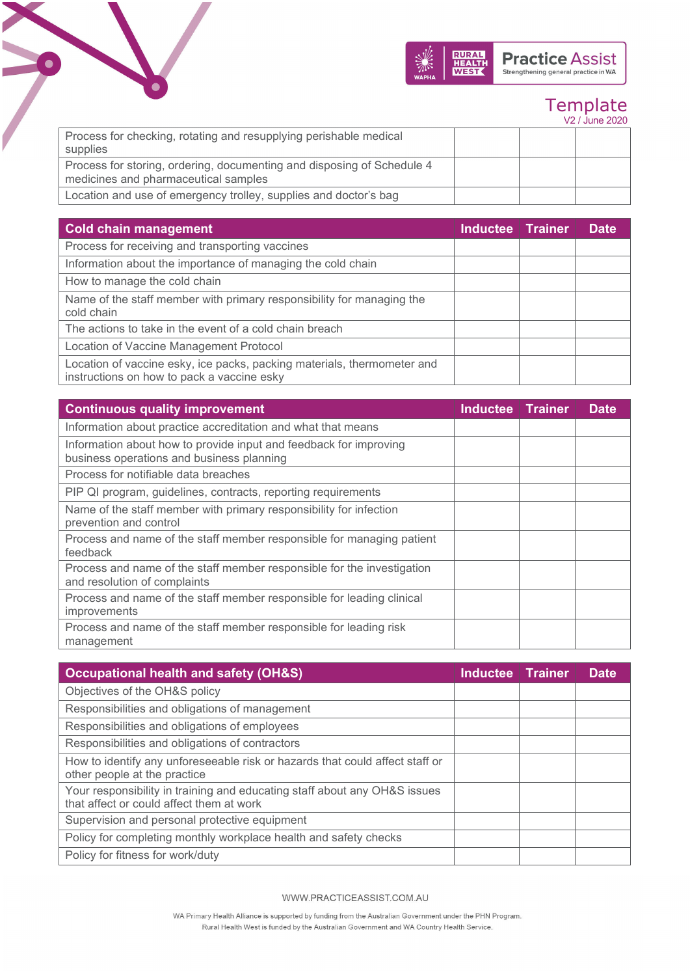

|                                                                        |  | V2 / June 2020 |
|------------------------------------------------------------------------|--|----------------|
| Process for checking, rotating and resupplying perishable medical      |  |                |
| supplies                                                               |  |                |
| Process for storing, ordering, documenting and disposing of Schedule 4 |  |                |
| medicines and pharmaceutical samples                                   |  |                |
| Location and use of emergency trolley, supplies and doctor's bag       |  |                |

 $\bullet$ 

| <b>Cold chain management</b>                                                                                          | Inductee   Trainer | <b>Date</b> |
|-----------------------------------------------------------------------------------------------------------------------|--------------------|-------------|
| Process for receiving and transporting vaccines                                                                       |                    |             |
| Information about the importance of managing the cold chain                                                           |                    |             |
| How to manage the cold chain                                                                                          |                    |             |
| Name of the staff member with primary responsibility for managing the<br>cold chain                                   |                    |             |
| The actions to take in the event of a cold chain breach                                                               |                    |             |
| Location of Vaccine Management Protocol                                                                               |                    |             |
| Location of vaccine esky, ice packs, packing materials, thermometer and<br>instructions on how to pack a vaccine esky |                    |             |

| <b>Continuous quality improvement</b>                                                                          | Inductee | <b>Trainer</b> | <b>Date</b> |
|----------------------------------------------------------------------------------------------------------------|----------|----------------|-------------|
| Information about practice accreditation and what that means                                                   |          |                |             |
| Information about how to provide input and feedback for improving<br>business operations and business planning |          |                |             |
| Process for notifiable data breaches                                                                           |          |                |             |
| PIP QI program, guidelines, contracts, reporting requirements                                                  |          |                |             |
| Name of the staff member with primary responsibility for infection<br>prevention and control                   |          |                |             |
| Process and name of the staff member responsible for managing patient<br>feedback                              |          |                |             |
| Process and name of the staff member responsible for the investigation<br>and resolution of complaints         |          |                |             |
| Process and name of the staff member responsible for leading clinical<br>improvements                          |          |                |             |
| Process and name of the staff member responsible for leading risk<br>management                                |          |                |             |

| <b>Occupational health and safety (OH&amp;S)</b>                                                                      | Inductee Trainer | <b>Date</b> |
|-----------------------------------------------------------------------------------------------------------------------|------------------|-------------|
| Objectives of the OH&S policy                                                                                         |                  |             |
| Responsibilities and obligations of management                                                                        |                  |             |
| Responsibilities and obligations of employees                                                                         |                  |             |
| Responsibilities and obligations of contractors                                                                       |                  |             |
| How to identify any unforeseeable risk or hazards that could affect staff or<br>other people at the practice          |                  |             |
| Your responsibility in training and educating staff about any OH&S issues<br>that affect or could affect them at work |                  |             |
| Supervision and personal protective equipment                                                                         |                  |             |
| Policy for completing monthly workplace health and safety checks                                                      |                  |             |
| Policy for fitness for work/duty                                                                                      |                  |             |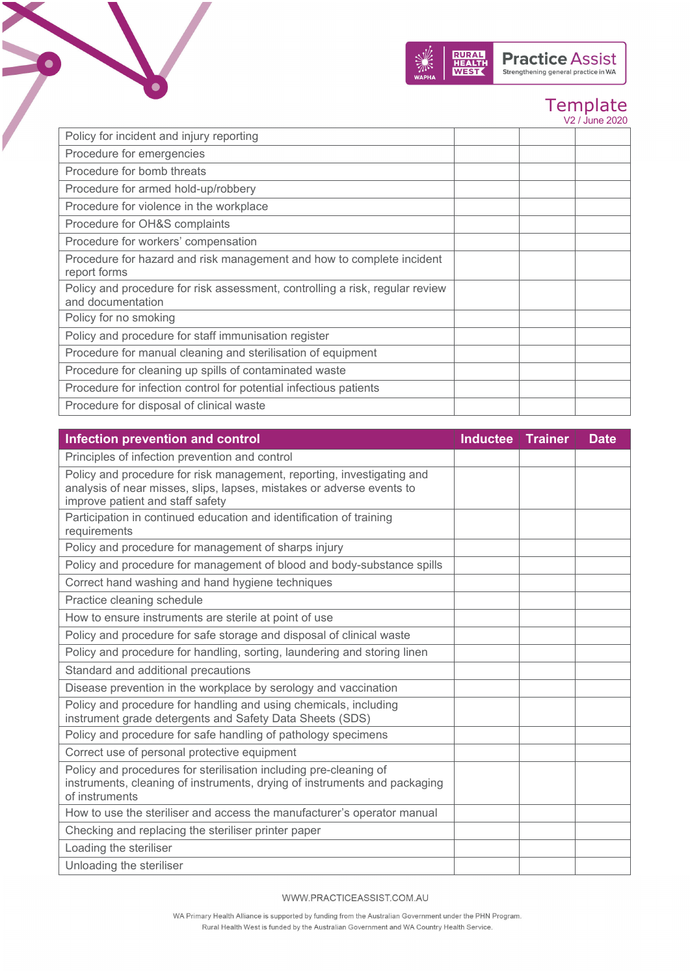

V2 / June 2020

| Policy for incident and injury reporting                                     |  |  |
|------------------------------------------------------------------------------|--|--|
|                                                                              |  |  |
| Procedure for emergencies                                                    |  |  |
| Procedure for bomb threats                                                   |  |  |
| Procedure for armed hold-up/robbery                                          |  |  |
| Procedure for violence in the workplace                                      |  |  |
| Procedure for OH&S complaints                                                |  |  |
| Procedure for workers' compensation                                          |  |  |
| Procedure for hazard and risk management and how to complete incident        |  |  |
| report forms                                                                 |  |  |
| Policy and procedure for risk assessment, controlling a risk, regular review |  |  |
| and documentation                                                            |  |  |
| Policy for no smoking                                                        |  |  |
| Policy and procedure for staff immunisation register                         |  |  |
| Procedure for manual cleaning and sterilisation of equipment                 |  |  |
| Procedure for cleaning up spills of contaminated waste                       |  |  |
| Procedure for infection control for potential infectious patients            |  |  |
| Procedure for disposal of clinical waste                                     |  |  |

 $\bullet$ 

| Infection prevention and control                                                                                                                                                    | Inductee   Trainer | <b>Date</b> |
|-------------------------------------------------------------------------------------------------------------------------------------------------------------------------------------|--------------------|-------------|
| Principles of infection prevention and control                                                                                                                                      |                    |             |
| Policy and procedure for risk management, reporting, investigating and<br>analysis of near misses, slips, lapses, mistakes or adverse events to<br>improve patient and staff safety |                    |             |
| Participation in continued education and identification of training<br>requirements                                                                                                 |                    |             |
| Policy and procedure for management of sharps injury                                                                                                                                |                    |             |
| Policy and procedure for management of blood and body-substance spills                                                                                                              |                    |             |
| Correct hand washing and hand hygiene techniques                                                                                                                                    |                    |             |
| Practice cleaning schedule                                                                                                                                                          |                    |             |
| How to ensure instruments are sterile at point of use                                                                                                                               |                    |             |
| Policy and procedure for safe storage and disposal of clinical waste                                                                                                                |                    |             |
| Policy and procedure for handling, sorting, laundering and storing linen                                                                                                            |                    |             |
| Standard and additional precautions                                                                                                                                                 |                    |             |
| Disease prevention in the workplace by serology and vaccination                                                                                                                     |                    |             |
| Policy and procedure for handling and using chemicals, including<br>instrument grade detergents and Safety Data Sheets (SDS)                                                        |                    |             |
| Policy and procedure for safe handling of pathology specimens                                                                                                                       |                    |             |
| Correct use of personal protective equipment                                                                                                                                        |                    |             |
| Policy and procedures for sterilisation including pre-cleaning of<br>instruments, cleaning of instruments, drying of instruments and packaging<br>of instruments                    |                    |             |
| How to use the steriliser and access the manufacturer's operator manual                                                                                                             |                    |             |
| Checking and replacing the steriliser printer paper                                                                                                                                 |                    |             |
| Loading the steriliser                                                                                                                                                              |                    |             |
| Unloading the steriliser                                                                                                                                                            |                    |             |